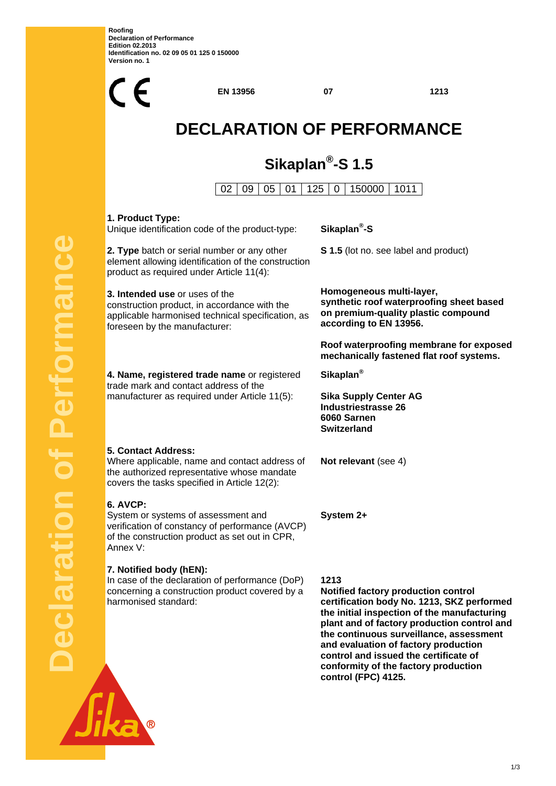**Roofing Declaration of Performance Edition 02.2013 Identification no. 02 09 05 01 125 0 150000 Version no. 1** 

**Declaration of Performance**

claration

Performanc



**control (FPC) 4125.** 

<u>1/3</u>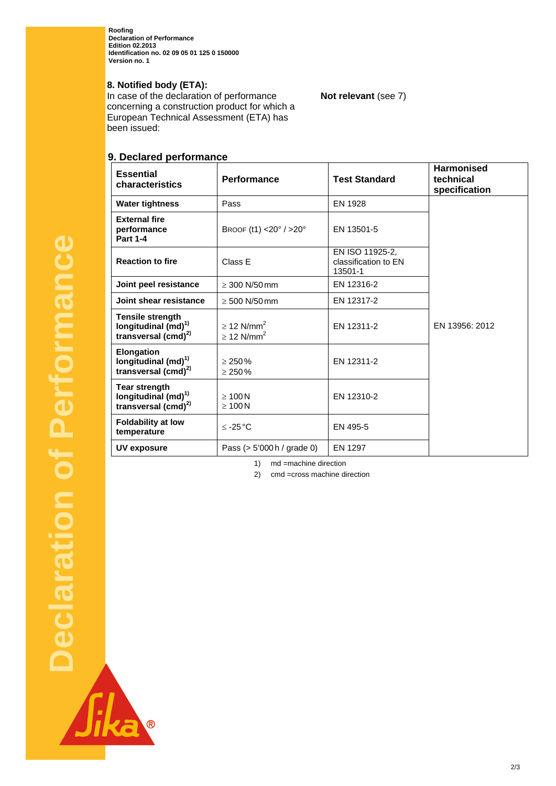**Roofing Declaration of Performance Edition 02.2013 Identification no. 02 09 05 01 125 0 150000 Version no. 1** 

## **8. Notified body (ETA):**

In case of the declaration of performance concerning a construction product for which a European Technical Assessment (ETA) has been issued:

# **9. Declared performance**

| <b>Essential</b><br>characteristics                                                    | <b>Performance</b>                                         | <b>Test Standard</b>                               | <b>Harmonised</b><br>technical<br>specification |
|----------------------------------------------------------------------------------------|------------------------------------------------------------|----------------------------------------------------|-------------------------------------------------|
| <b>Water tightness</b>                                                                 | Pass                                                       | EN 1928                                            |                                                 |
| <b>External fire</b><br>performance<br><b>Part 1-4</b>                                 | BROOF $(t1)$ <20° / >20°                                   | EN 13501-5                                         |                                                 |
| <b>Reaction to fire</b>                                                                | Class E                                                    | EN ISO 11925-2.<br>classification to EN<br>13501-1 |                                                 |
| Joint peel resistance                                                                  | $\geq$ 300 N/50 mm                                         | EN 12316-2                                         |                                                 |
| Joint shear resistance                                                                 | $\geq 500$ N/50 mm                                         | EN 12317-2                                         |                                                 |
| <b>Tensile strength</b><br>longitudinal (md) <sup>1)</sup><br>transversal $(cmd)^{2)}$ | $\geq$ 12 N/mm <sup>2</sup><br>$\geq$ 12 N/mm <sup>2</sup> | EN 12311-2                                         | EN 13956: 2012                                  |
| Elongation<br>longitudinal (md) <sup>1)</sup><br>transversal $(cmd)^{2)}$              | > 250%<br>$\geq 250\%$                                     | EN 12311-2                                         |                                                 |
| <b>Tear strength</b><br>longitudinal $(md)^{1}$<br>transversal $(cmd)^{2)}$            | $\geq 100$ N<br>$\geq 100$ N                               | EN 12310-2                                         |                                                 |
| <b>Foldability at low</b><br>temperature                                               | $≤ -25 °C$                                                 | EN 495-5                                           |                                                 |
| UV exposure                                                                            | Pass $(> 5'000 h /$ grade 0)                               | <b>EN 1297</b>                                     |                                                 |

1) md =machine direction

2) cmd =cross machine direction

2/3

**Not relevant** (see 7)